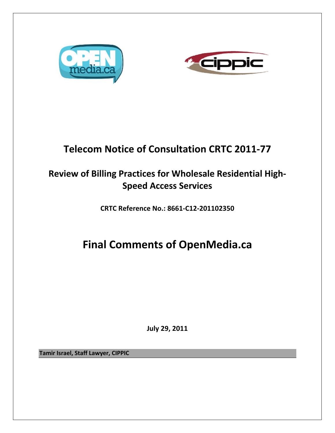



# **Telecom Notice of Consultation CRTC 2011‐77**

## **Review of Billing Practices for Wholesale Residential High‐ Speed Access Services**

**CRTC Reference No.: 8661‐C12‐201102350**

# **Final Comments of OpenMedia.ca**

**July 29, 2011**

**Tamir Israel, Staff Lawyer, CIPPIC**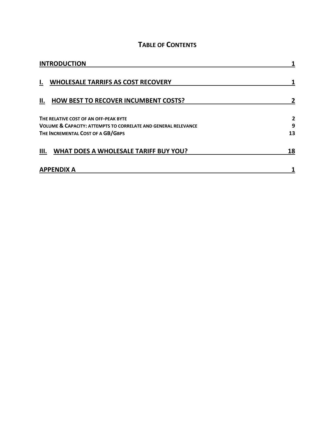### **TABLE OF CONTENTS**

| <b>INTRODUCTION</b>                                                                                                |        |
|--------------------------------------------------------------------------------------------------------------------|--------|
| <b>WHOLESALE TARRIFS AS COST RECOVERY</b><br>ı.                                                                    |        |
| <b>HOW BEST TO RECOVER INCUMBENT COSTS?</b><br>П.                                                                  |        |
| THE RELATIVE COST OF AN OFF-PEAK BYTE<br><b>VOLUME &amp; CAPACITY: ATTEMPTS TO CORRELATE AND GENERAL RELEVANCE</b> | 2<br>9 |
| THE INCREMENTAL COST OF A GB/GBPS                                                                                  | 13     |
| <b>WHAT DOES A WHOLESALE TARIFF BUY YOU?</b><br>Ш.                                                                 | 18     |
| <b>APPENDIX A</b>                                                                                                  |        |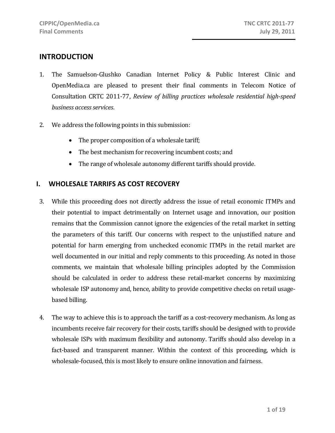## **INTRODUCTION**

- 1. The Samuelson‐Glushko Canadian Internet Policy & Public Interest Clinic and OpenMedia.ca are pleased to present their final comments in Telecom Notice of Consultation CRTC 2011‐77, *Review of billing practices wholesale residential highspeed business accessservices*.
- 2. We address the following points in this submission:
	- The proper composition of a wholesale tariff;
	- The best mechanism for recovering incumbent costs; and
	- The range of wholesale autonomy different tariffs should provide.

#### **I. WHOLESALE TARRIFS AS COST RECOVERY**

- 3. While this proceeding does not directly address the issue of retail economic ITMPs and their potential to impact detrimentally on Internet usage and innovation, our position remains that the Commission cannot ignore the exigencies of the retail market in setting the parameters of this tariff. Our concerns with respect to the unjustified nature and potential for harm emerging from unchecked economic ITMPs in the retail market are well documented in our initial and reply comments to this proceeding. As noted in those comments, we maintain that wholesale billing principles adopted by the Commission should be calculated in order to address these retail-market concerns by maximizing wholesale ISP autonomy and, hence, ability to provide competitive checks on retail usagebased billing.
- 4. The way to achieve this is to approach the tariff as a cost-recovery mechanism. As long as incumbents receive fair recovery for their costs, tariffs should be designed with to provide wholesale ISPs with maximum flexibility and autonomy. Tariffs should also develop in a fact-based and transparent manner. Within the context of this proceeding, which is wholesale-focused, this is most likely to ensure online innovation and fairness.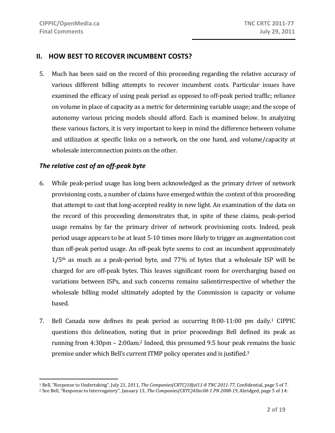#### **II. HOW BEST TO RECOVER INCUMBENT COSTS?**

5. Much has been said on the record of this proceeding regarding the relative accuracy of various different billing attempts to recover incumbent costs. Particular issues have examined the efficacy of using peak period as opposed to off‐peak period traffic; reliance on volume in place of capacity as a metric for determining variable usage; and the scope of autonomy various pricing models should afford. Each is examined below. In analyzing these various factors, it is very important to keep in mind the difference between volume and utilization at specific links on a network, on the one hand, and volume/capacity at wholesale interconnection points on the other.

#### *The relative cost of an off‐peak byte*

- 6. While peak‐period usage has long been acknowledged as the primary driver of network provisioning costs, a number of claims have emerged within the context of this proceeding that attempt to cast that long‐accepted reality in new light. An examination of the data on the record of this proceeding demonstrates that, in spite of these claims, peak‐period usage remains by far the primary driver of network provisioning costs. Indeed, peak period usage appears to be at least 5‐10 times more likely to trigger an augmentation cost than off‐peak period usage. An off‐peak byte seems to cost an incumbent approximately  $1/5$ <sup>th</sup> as much as a peak-period byte, and 77% of bytes that a wholesale ISP will be charged for are off‐peak bytes. This leaves significant room for overcharging based on variations between ISPs, and such concerns remains salientirrespective of whether the wholesale billing model ultimately adopted by the Commission is capacity or volume based.
- 7. Bell Canada now defines its peak period as occurring 8:00‐11:00 pm daily.1 CIPPIC questions this delineation, noting that in prior proceedings Bell defined its peak as running from 4:30pm – 2:00am.2 Indeed, this presumed 9.5 hour peak remains the basic premise under which Bell's current ITMP policy operates and is justified.3

<sup>1</sup> Bell, "Response to Undertaking", July 21, 2011, *The Companies(CRTC)18Jul118 TNC 201177*, Confidential, page 5 of 7.

<sup>2</sup> See Bell, "Response to Interrogatory", January 13, *The Companies(CRTC)4Dec081 PN 200819*, Abridged, page 5 of 14: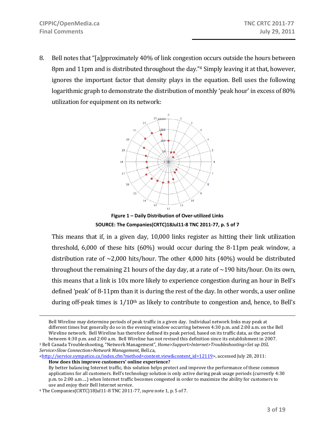$\overline{a}$ 

8. Bell notes that "[a]pproximately 40% of link congestion occurs outside the hours between 8pm and 11pm and is distributed throughout the day."4 Simply leaving it at that, however, ignores the important factor that density plays in the equation. Bell uses the following logarithmic graph to demonstrate the distribution of monthly 'peak hour' in excess of 80% utilization for equipment on its network:



**Figure 1 – Daily Distribution of Over‐utilized Links SOURCE: The Companies(CRTC)18Jul11‐8 TNC 2011‐77, p. 5 of 7**

This means that if, in a given day, 10,000 links register as hitting their link utilization threshold,  $6,000$  of these hits  $(60%)$  would occur during the 8-11pm peak window, a distribution rate of  $\sim$ 2,000 hits/hour. The other 4,000 hits (40%) would be distributed throughout the remaining 21 hours of the day day, at a rate of  $\sim$ 190 hits/hour. On its own, this means that a link is 10x more likely to experience congestion during an hour in Bell's defined 'peak' of 8‐11pm than it is during the rest of the day. In other words, a user online during off-peak times is  $1/10<sup>th</sup>$  as likely to contribute to congestion and, hence, to Bell's

<http://service.sympatico.ca/index.cfm?method=content.view&content\_id=12119>, accessed July 28, 2011: **How does this improve customers' online experience?**

Bell Wireline may determine periods of peak traffic in a given day. Individual network links may peak at different times but generally do so in the evening window occurring between 4:30 p.m. and 2:00 a.m. on the Bell Wireline network. Bell Wireline has therefore defined its peak period, based on its traffic data, as the period between 4:30 p.m. and 2:00 a.m. Bell Wireline has not revised this definition since its establishment in 2007.

<sup>3</sup> Bell Canada Troubleshooting, "Network Management", *Home>Support>Internet>Troubleshooting>Set up DSL Service>Slow Connection>Network Management,* Bell.ca,

By better balancing Internet traffic, this solution helps protect and improve the performance of these common applications for all customers. Bell's technology solution is only active during peak usage periods (currently 4:30 p.m. to 2:00 a.m….) when Internet traffic becomes congested in order to maximize the ability for customers to use and enjoy their Bell Internet service.

<sup>4</sup> The Companies(CRTC)18Jul11‐8 TNC 2011‐77, *supra* note 1, p. 5 of 7.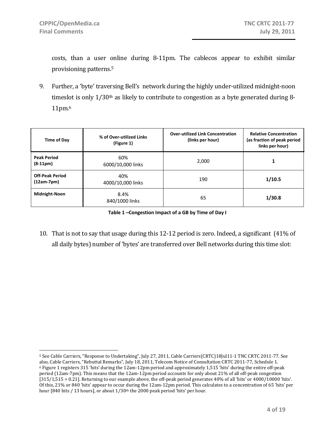$\overline{a}$ 

costs, than a user online during 8‐11pm. The cablecos appear to exhibit similar provisioning patterns.5

9. Further, a 'byte' traversing Bell's network during the highly under-utilized midnight-noon timeslot is only  $1/30<sup>th</sup>$  as likely to contribute to congestion as a byte generated during 8-11pm.6

| Time of Day                            | % of Over-utilized Links<br>(Figure 1) | <b>Over-utilized Link Concentration</b><br>(links per hour) | <b>Relative Concentration</b><br>(as fraction of peak period<br>links per hour) |
|----------------------------------------|----------------------------------------|-------------------------------------------------------------|---------------------------------------------------------------------------------|
| <b>Peak Period</b><br>$(8-11pm)$       | 60%<br>6000/10,000 links               | 2,000                                                       |                                                                                 |
| <b>Off-Peak Period</b><br>$(12am-7pm)$ | 40%<br>4000/10,000 links               | 190                                                         | 1/10.5                                                                          |
| Midnight-Noon                          | 8.4%<br>840/1000 links                 | 65                                                          | 1/30.8                                                                          |

**Table 1 –Congestion Impact of a GB by Time of Day I**

10. That is not to say that usage during this 12‐12 period is zero. Indeed, a significant (41% of all daily bytes) number of 'bytes' are transferred over Bell networks during this time slot:

<sup>5</sup> See Cable Carriers, "Response to Undertaking", July 27, 2011, Cable Carriers(CRTC)18Jul11‐1 TNC CRTC 2011‐77. See also, Cable Carriers, "Rebuttal Remarks", July 18, 2011, Telecom Notice of Consultation CRTC 2011‐77, Schedule 1. 6 Figure 1 registers 315 'hits' during the 12am‐12pm period and approximately 1,515 'hits' during the entire off‐peak period (12am‐7pm). This means that the 12am‐12pm period accounts for only about 21% of all off‐peak congestion [315/1,515 = 0.21]. Returning to our example above, the off-peak period generates 40% of all 'hits' or 4000/10000 'hits'. Of this, 21% or 840 'hits' appear to occur during the 12am‐12pm period. This calculates to a concentration of 65 'hits' per hour [840 hits / 13 hours], or about 1/30th the 2000 peak period 'hits' per hour.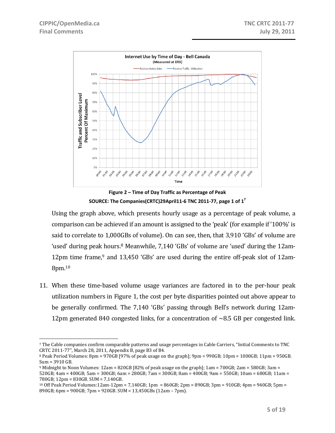

**Figure 2 – Time of Day Traffic as Percentage of Peak SOURCE: The Companies(CRTC)29April11‐6 TNC 2011‐77, page 1 of 17**

Using the graph above, which presents hourly usage as a percentage of peak volume, a comparison can be achieved if an amount is assigned to the 'peak' (for example if '100%' is said to correlate to 1,000GBs of volume). On can see, then, that 3,910 'GBs' of volume are 'used' during peak hours.<sup>8</sup> Meanwhile, 7,140 'GBs' of volume are 'used' during the 12am-12pm time frame,<sup>9</sup> and 13,450 'GBs' are used during the entire off-peak slot of 12am-8pm.10

11. When these time-based volume usage variances are factored in to the per-hour peak utilization numbers in Figure 1, the cost per byte disparities pointed out above appear to be generally confirmed. The 7,140 'GBs' passing through Bell's network during 12am-12pm generated 840 congested links, for a concentration of  $\sim 8.5$  GB per congested link.

 $\overline{a}$ 7 The Cable companies confirm comparable patterns and usage percentages in Cable Carriers, "Initial Comments to TNC CRTC 2011‐77", March 28, 2011, Appendix B, page B3 of B4.

 $8$  Peak Period Volumes: 8pm = 970GB [97% of peak usage on the graph]; 9pm = 990GB; 10pm = 1000GB; 11pm = 950GB. Sum = 3910 GB.

<sup>9</sup> Midnight to Noon Volumes: 12am = 820GB [82% of peak usage on the graph]; 1am = 700GB; 2am = 580GB; 3am = 520GB; 4am = 400GB; 5am = 300GB; 6am = 280GB; 7am = 300GB; 8am = 400GB; 9am = 550GB; 10am = 680GB; 11am = 780GB; 12pm = 830GB. SUM = 7,140GB.

<sup>10</sup> Off Peak Period Volumes:12am‐12pm = 7,140GB; 1pm = 860GB; 2pm = 890GB; 3pm = 910GB; 4pm = 940GB; 5pm = 890GB; 6pm = 900GB; 7pm = 920GB. SUM = 13,450GBs (12am – 7pm).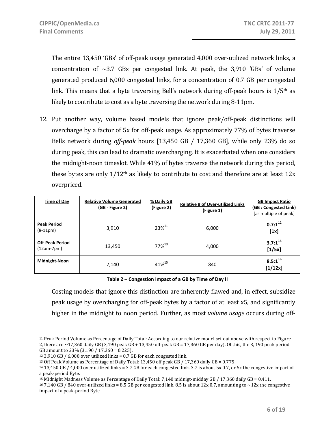The entire 13,450 'GBs' of off-peak usage generated 4,000 over-utilized network links, a concentration of  $\sim$ 3.7 GBs per congested link. At peak, the 3,910 'GBs' of volume generated produced 6,000 congested links, for a concentration of 0.7 GB per congested link. This means that a byte traversing Bell's network during off-peak hours is  $1/5<sup>th</sup>$  as likely to contribute to cost as a byte traversing the network during 8‐11pm.

12. Put another way, volume based models that ignore peak/off-peak distinctions will overcharge by a factor of 5x for off‐peak usage. As approximately 77% of bytes traverse Bells network during *offpeak* hours [13,450 GB / 17,360 GB], while only 23% do so during peak, this can lead to dramatic overcharging. It is exacerbated when one considers the midnight‐noon timeslot. While 41% of bytes traverse the network during this period, these bytes are only  $1/12$ <sup>th</sup> as likely to contribute to cost and therefore are at least  $12x$ overpriced.

| Time of Day                            | <b>Relative Volume Generated</b><br>(GB - Figure 2) | % Daily GB<br>(Figure 2) | <b>Relative # of Over-utilized Links</b><br>(Figure 1) | <b>GB Impact Ratio</b><br>(GB : Congested Link)<br>[as multiple of peak] |
|----------------------------------------|-----------------------------------------------------|--------------------------|--------------------------------------------------------|--------------------------------------------------------------------------|
| <b>Peak Period</b><br>$(8-11pm)$       | 3,910                                               | $23\%^{11}$              | 6,000                                                  | $0.7:1^{12}$<br>[1x]                                                     |
| <b>Off-Peak Period</b><br>$(12am-7pm)$ | 13,450                                              | $77\%^{13}$              | 4,000                                                  | $3.7:1^{14}$<br>[1/5x]                                                   |
| Midnight-Noon                          | 7,140                                               | 41%15                    | 840                                                    | $8.5:1^{16}$<br>$[1/12x]$                                                |

**Table 2 – Congestion Impact of a GB by Time of Day II**

Costing models that ignore this distinction are inherently flawed and, in effect, subsidize peak usage by overcharging for off‐peak bytes by a factor of at least x5, and significantly higher in the midnight to noon period. Further, as most *volume usage* occurs during off‐

1

<sup>11</sup> Peak Period Volume as Percentage of Daily Total: According to our relative model set out above with respect to Figure 2, there are  $\sim$  17,360 daily GB (3,190 peak GB + 13,450 off-peak GB = 17,360 GB per day). Of this, the 3, 190 peak period GB amount to 23% (3,190 / 17,360 = 0.225).

<sup>&</sup>lt;sup>12</sup> 3,910 GB / 6,000 over utilized links = 0.7 GB for each congested link.

<sup>13</sup> Off Peak Volume as Percentage of Daily Total: 13,450 off peak GB / 17,360 daily GB = 0.775.

<sup>14 13,450</sup> GB / 4,000 over utilized links = 3.7 GB for each congested link. 3.7 is about 5x 0.7, or 5x the congestive impact of a peak‐period Byte.

<sup>15</sup> Midnight Madness Volume as Percentage of Daily Total: 7,140 midnigt‐midday GB / 17,360 daily GB = 0.411.

 $16$  7,140 GB / 840 over-utilized links = 8.5 GB per congested link. 8.5 is about 12x 0.7, amounting to  $\sim$  12x the congestive impact of a peak‐period Byte.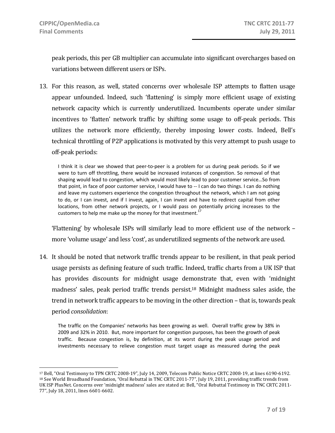peak periods, this per GB multiplier can accumulate into significant overcharges based on variations between different users or ISPs.

13. For this reason, as well, stated concerns over wholesale ISP attempts to flatten usage appear unfounded. Indeed, such 'flattening' is simply more efficient usage of existing network capacity which is currently underutilized. Incumbents operate under similar incentives to 'flatten' network traffic by shifting some usage to off-peak periods. This utilizes the network more efficiently, thereby imposing lower costs. Indeed, Bell's technical throttling of P2P applications is motivated by this very attempt to push usage to off‐peak periods:

I think it is clear we showed that peer‐to‐peer is a problem for us during peak periods. So if we were to turn off throttling, there would be increased instances of congestion. So removal of that shaping would lead to congestion, which would most likely lead to poor customer service…So from that point, in face of poor customer service, I would have to ‐‐ I can do two things. I can do nothing and leave my customers experience the congestion throughout the network, which I am not going to do, or I can invest, and if I invest, again, I can invest and have to redirect capital from other locations, from other network projects, or I would pass on potentially pricing increases to the customers to help me make up the money for that investment.<sup>1</sup>

'Flattening' by wholesale ISPs will similarly lead to more efficient use of the network – more 'volume usage' and less 'cost', as underutilized segments of the network are used.

14. It should be noted that network traffic trends appear to be resilient, in that peak period usage persists as defining feature of such traffic. Indeed, traffic charts from a UK ISP that has provides discounts for midnight usage demonstrate that, even with 'midnight madness' sales, peak period traffic trends persist.18 Midnight madness sales aside, the trend in network traffic appears to be moving in the other direction – that is, towards peak period *consolidation*:

The traffic on the Companies' networks has been growing as well. Overall traffic grew by 38% in 2009 and 32% in 2010. But, more important for congestion purposes, has been the growth of peak traffic. Because congestion is, by definition, at its worst during the peak usage period and investments necessary to relieve congestion must target usage as measured during the peak

 $\overline{a}$ 17 Bell, "Oral Testimony to TPN CRTC 2008‐19", July 14, 2009, Telecom Public Notice CRTC 2008‐19, at lines 6190‐6192. 18 See World Broadband Foundation, "Oral Rebuttal in TNC CRTC 2011-77", July 19, 2011, providing traffic trends from UK ISP PlusNet. Concerns over 'midnight madness' sales are stated at: Bell, "Oral Rebuttal Testimony in TNC CRTC 2011‐ 77", July 18, 2011, lines 6601‐6602.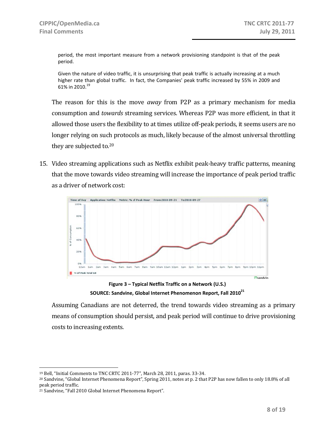period, the most important measure from a network provisioning standpoint is that of the peak period.

Given the nature of video traffic, it is unsurprising that peak traffic is actually increasing at a much higher rate than global traffic. In fact, the Companies' peak traffic increased by 55% in 2009 and 61% in 2010.<sup>19</sup>

The reason for this is the move *away* from P2P as a primary mechanism for media consumption and *towards* streaming services. Whereas P2P was more efficient, in that it allowed those users the flexibility to at times utilize off‐peak periods, it seems users are no longer relying on such protocols as much, likely because of the almost universal throttling they are subjected to.20

15. Video streaming applications such as Netflix exhibit peak‐heavy traffic patterns, meaning that the move towards video streaming will increase the importance of peak period traffic as a driver of network cost:



**Figure 3 – Typical Netflix Traffic on a Network (U.S.) SOURCE: Sandvine, Global Internet Phenomenon Report, Fall 201021**

Assuming Canadians are not deterred, the trend towards video streaming as a primary means of consumption should persist, and peak period will continue to drive provisioning costs to increasing extents.

<sup>19</sup> Bell, "Initial Comments to TNC CRTC 2011‐77", March 28, 2011, paras. 33‐34.

<sup>20</sup> Sandvine, "Global Internet Phenomena Report", Spring 2011, notes at p. 2 that P2P has now fallen to only 18.8% of all peak period traffic.

<sup>21</sup> Sandvine, "Fall 2010 Global Internet Phenomena Report".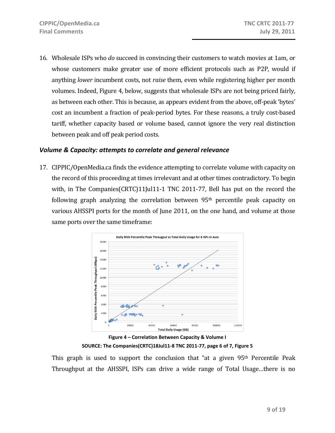16. Wholesale ISPs who *do* succeed in convincing their customers to watch movies at 1am, or whose customers make greater use of more efficient protocols such as P2P, would if anything *lower* incumbent costs, not *raise* them, even while registering higher per month volumes. Indeed, Figure 4, below, suggests that wholesale ISPs are not being priced fairly, as between each other. This is because, as appears evident from the above, off‐peak 'bytes' cost an incumbent a fraction of peak‐period bytes. For these reasons, a truly cost‐based tariff, whether capacity based or volume based, cannot ignore the very real distinction between peak and off peak period costs.

#### *Volume & Capacity: attempts to correlate and general relevance*

17. CIPPIC/OpenMedia.ca finds the evidence attempting to correlate volume with capacity on the record of this proceeding at times irrelevant and at other times contradictory. To begin with, in The Companies(CRTC)11Jul11-1 TNC 2011-77, Bell has put on the record the following graph analyzing the correlation between 95th percentile peak capacity on various AHSSPI ports for the month of June 2011, on the one hand, and volume at those same ports over the same timeframe:



**Figure 4 – Correlation Between Capacity & Volume I SOURCE: The Companies(CRTC)18Jul11‐8 TNC 2011‐77, page 6 of 7, Figure 5**

This graph is used to support the conclusion that "at a given 95<sup>th</sup> Percentile Peak Throughput at the AHSSPI, ISPs can drive a wide range of Total Usage...there is no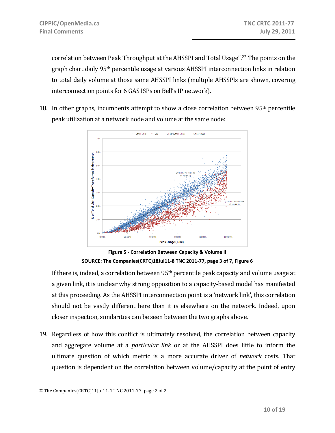correlation between Peak Throughput at the AHSSPI and Total Usage".22 The points on the graph chart daily 95th percentile usage at various AHSSPI interconnection links in relation to total daily volume at those same AHSSPI links (multiple AHSSPIs are shown, covering interconnection points for 6 GAS ISPs on Bell's IP network).

18. In other graphs, incumbents attempt to show a close correlation between 95th percentile peak utilization at a network node and volume at the same node:



**Figure 5 ‐ Correlation Between Capacity & Volume II SOURCE: The Companies(CRTC)18Jul11‐8 TNC 2011‐77, page 3 of 7, Figure 6**

If there is, indeed, a correlation between 95<sup>th</sup> percentile peak capacity and volume usage at a given link, it is unclear why strong opposition to a capacity‐based model has manifested at this proceeding. As the AHSSPI interconnection point is a 'network link', this correlation should not be vastly different here than it is elsewhere on the network. Indeed, upon closer inspection, similarities can be seen between the two graphs above.

19. Regardless of how this conflict is ultimately resolved, the correlation between capacity and aggregate volume at a *particular link* or at the AHSSPI does little to inform the ultimate question of which metric is a more accurate driver of *network* costs. That question is dependent on the correlation between volume/capacity at the point of entry

 $\overline{a}$ 22 The Companies(CRTC)11Jul11‐1 TNC 2011‐77, page 2 of 2.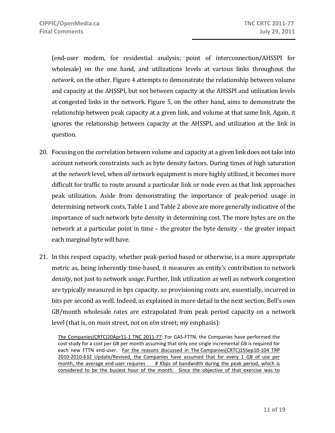(end‐user modem, for residential analysis; point of interconnection/AHSSPI for wholesale) on the one hand, and utilizations levels at various links throughout the *network*, on the other. Figure 4 attempts to demonstrate the relationship between volume and capacity at the AHSSPI, but not between capacity at the AHSSPI and utilization levels at congested links in the network. Figure 5, on the other hand, aims to demonstrate the relationship between peak capacity at a given link, and volume at that same link. Again, it ignores the relationship between capacity at the AHSSPI, and utilization at the link in question.

- 20. Focusing on the correlation between volume and capacity at a given link does not take into account network constraints such as byte density factors. During times of high saturation at the *network* level, when *all* network equipment is more highly utilized, it becomes more difficult for traffic to route around a particular link or node even as that link approaches peak utilization. Aside from demonstrating the importance of peak‐period usage in determining network costs, Table 1 and Table 2 above are more generally indicative of the importance of such network byte density in determining cost. The more bytes are on the network at a particular point in time – the greater the byte density – the greater impact each marginal byte will have.
- 21. In this respect capacity, whether peak‐period based or otherwise, is a more appropriate metric as, being inherently time‐based, it measures an entity's contribution to network *density*, not just to network *usage*. Further, link utilization as well as network congestion are typically measured in bps capacity, so provisioning costs are, essentially, incurred in bits per second as well. Indeed, as explained in more detail in the next section, Bell's own GB/month wholesale rates are extrapolated from peak period capacity on a network level (that is, on *main* street, not on *elm* street; my emphasis):

The Companies(CRTC)20Apr11-1 TNC 2011-77: For GAS-FTTN, the Companies have performed the cost study for a cost per GB per month assuming that only one single incremental GB is required for each new FTTN end-user. For the reasons discussed in The Companies(CRTC)15Sep10-104 TRP 2010-2010-632 Update/Revised, the Companies have assumed that for every 1 GB of use per month, the average end‐user requires # Kbps of bandwidth during the peak period, which is considered to be the busiest hour of the month. Since the objective of that exercise was to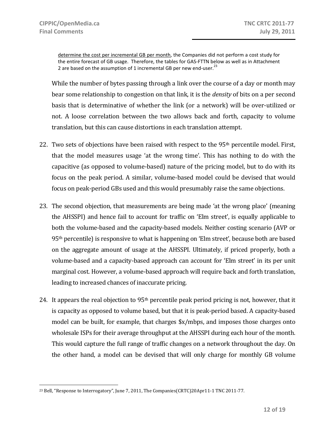$\overline{a}$ 

determine the cost per incremental GB per month, the Companies did not perform a cost study for the entire forecast of GB usage. Therefore, the tables for GAS-FTTN below as well as in Attachment 2 are based on the assumption of 1 incremental GB per new end-user. $^{23}$ 

While the number of bytes passing through a link over the course of a day or month may bear some relationship to congestion on that link, it is the *density* of bits on a per second basis that is determinative of whether the link (or a network) will be over‐utilized or not. A loose correlation between the two allows back and forth, capacity to volume translation, but this can cause distortions in each translation attempt.

- 22. Two sets of objections have been raised with respect to the 95<sup>th</sup> percentile model. First, that the model measures usage 'at the wrong time'. This has nothing to do with the capacitive (as opposed to volume‐based) nature of the pricing model, but to do with its focus on the peak period. A similar, volume‐based model could be devised that would focus on peak‐period GBs used and this would presumably raise the same objections.
- 23. The second objection, that measurements are being made 'at the wrong place' (meaning the AHSSPI) and hence fail to account for traffic on 'Elm street', is equally applicable to both the volume‐based and the capacity‐based models. Neither costing scenario (AVP or 95th percentile) is responsive to what is happening on 'Elm street', because both are based on the aggregate amount of usage at the AHSSPI. Ultimately, if priced properly, both a volume‐based and a capacity‐based approach can account for 'Elm street' in its per unit marginal cost. However, a volume‐based approach will require back and forth translation, leading to increased chances of inaccurate pricing.
- 24. It appears the real objection to 95th percentile peak period pricing is not, however, that it is capacity as opposed to volume based, but that it is peak‐period based. A capacity‐based model can be built, for example, that charges \$x/mbps, and imposes those charges onto wholesale ISPs for their average throughput at the AHSSPI during each hour of the month. This would capture the full range of traffic changes on a network throughout the day. On the other hand, a model can be devised that will only charge for monthly GB volume

<sup>&</sup>lt;sup>23</sup> Bell, "Response to Interrogatory", June 7, 2011, The Companies(CRTC)20Apr11-1 TNC 2011-77.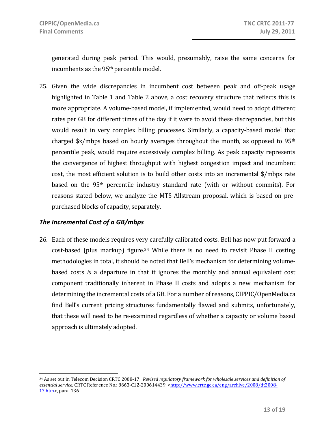generated during peak period. This would, presumably, raise the same concerns for incumbents as the 95<sup>th</sup> percentile model.

25. Given the wide discrepancies in incumbent cost between peak and off‐peak usage highlighted in Table 1 and Table 2 above, a cost recovery structure that reflects this is more appropriate. A volume‐based model, if implemented, would need to adopt different rates per GB for different times of the day if it were to avoid these discrepancies, but this would result in very complex billing processes. Similarly, a capacity-based model that charged  $x/mbps$  based on hourly averages throughout the month, as opposed to 95<sup>th</sup> percentile peak, would require excessively complex billing. As peak capacity represents the convergence of highest throughput with highest congestion impact and incumbent cost, the most efficient solution is to build other costs into an incremental \$/mbps rate based on the 95th percentile industry standard rate (with or without commits). For reasons stated below, we analyze the MTS Allstream proposal, which is based on pre‐ purchased blocks of capacity, separately.

#### *The Incremental Cost of a GB/mbps*

 $\overline{a}$ 

26. Each of these models requires very carefully calibrated costs. Bell has now put forward a cost-based (plus markup) figure.<sup>24</sup> While there is no need to revisit Phase II costing methodologies in total, it should be noted that Bell's mechanism for determining volume‐ based costs *is* a departure in that it ignores the monthly and annual equivalent cost component traditionally inherent in Phase II costs and adopts a new mechanism for determining the incremental costs of a GB. For a number of reasons, CIPPIC/OpenMedia.ca find Bell's current pricing structures fundamentally flawed and submits, unfortunately, that these will need to be re‐examined regardless of whether a capacity or volume based approach is ultimately adopted.

<sup>24</sup> As set out in Telecom Decision CRTC 2008‐17, *Revised regulatory framework for wholesale services and definition of essential service*, CRTC Reference No.: 8663‐C12‐200614439, <http://www.crtc.gc.ca/eng/archive/2008/dt2008‐ 17.htm>, para. 136.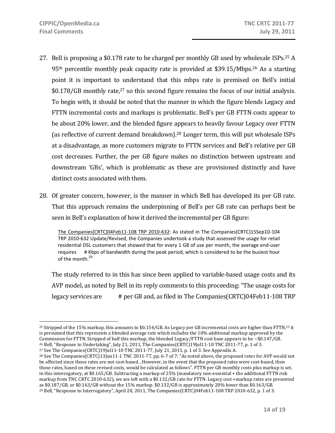$\overline{a}$ 

- 27. Bell is proposing a \$0.178 rate to be charged per monthly GB used by wholesale ISPs.25 A 95<sup>th</sup> percentile monthly peak capacity rate is provided at \$39.15/Mbps.<sup>26</sup> As a starting point it is important to understand that this mbps rate is premised on Bell's initial  $$0.178/GB$  monthly rate,<sup>27</sup> so this second figure remains the focus of our initial analysis. To begin with, it should be noted that the manner in which the figure blends Legacy and FTTN incremental costs and markups is problematic. Bell's per GB FTTN costs appear to be about 20% lower, and the blended figure appears to heavily favour Legacy over FTTN (as reflective of current demand breakdown).28 Longer term, this will put wholesale ISPs at a disadvantage, as more customers migrate to FTTN services and Bell's relative per GB cost decreases. Further, the per GB figure makes no distinction between upstream and downstream 'GBs', which is problematic as these are provisioned distinctly and have distinct costs associated with them.
- 28. Of greater concern, however, is the manner in which Bell has developed its per GB rate. That this approach remains the underpinning of Bell's per GB rate can perhaps best be seen in Bell's explanation of how it derived the incremental per GB figure:

The Companies(CRTC)04Feb11‐108 TRP 2010‐632: As stated in The Companies(CRTC)15Sep10‐104 TRP 2010‐632 Update/Revised, the Companies undertook a study that assessed the usage for retail residential DSL customers that showed that for every 1 GB of use per month, the average end‐user requires # Kbps of bandwidth during the peak period, which is considered to be the busiest hour of the month.<sup>29</sup>

The study referred to in this has since been applied to variable‐based usage costs and its AVP model, as noted by Bell in its reply comments to this proceeding: "The usage costs for legacy services are # per GB and, as filed in The Companies(CRTC)04Feb11‐108 TRP

<sup>&</sup>lt;sup>25</sup> Stripped of the 15% markup, this amounts to \$0.154/GB. As Legacy per GB incremental costs are higher than FTTN,<sup>25</sup> it is presumed that this represents a blended average rate which includes the 10% additional markup approved by the Commission for FTTN. Stripped of half this markup, the blended Legacy/FTTN cost base appears to be ~\$0.147/GB. 26 Bell, "Response to Undertaking", July 21, 2011, The Companies(CRTC)19Jul11‐10 TNC 2011‐77, p. 1 of 3.

<sup>27</sup> See The Companies(CRTC)19Jul11‐10 TNC 2011‐77, July 21, 2011, p. 1 of 3. See Appendix A.

<sup>&</sup>lt;sup>28</sup> See The Companies(CRTC)13Jun11-1 TNC 2011-77, pp. 6-7 of 7: "As noted above, the proposed rates for AVP would not be affected since those rates are not cost-based...However, in the event that the proposed rates were cost-based, then those rates, based on these revised costs, would be calculated as follows". FTTN per GB monthly costs plus markup is set, in this interrogatory, at \$0.165/GB. Subtracting a markup of 25% (mandatory non‐essential + the additional FTTN risk markup from TNC CRTC 2010‐632), we are left with a \$0.132/GB rate for FTTN. Legacy cost +markup rates are presented as \$0.187/GB, or \$0.163/GB without the 15% markup. \$0.132/GB is approximately 20% lower than \$0.163/GB. <sup>29</sup> Bell, "Response to Interrogatory", April 20, 2011, The Companies(CRTC)04Feb11-108 TRP 2010-632, p. 1 of 3.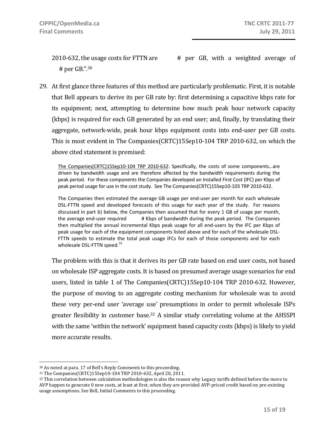2010‐632, the usage costs for FTTN are # per GB, with a weighted average of # per GB.".30

29. At first glance three features of this method are particularly problematic. First, it is notable that Bell appears to derive its per GB rate by: first determining a capacitive kbps rate for its equipment; next, attempting to determine how much peak hour network capacity (kbps) is required for each GB generated by an end user; and, finally, by translating their aggregate, network‐wide, peak hour kbps equipment costs into end‐user per GB costs. This is most evident in The Companies(CRTC)15Sep10‐104 TRP 2010‐632, on which the above cited statement is premised:

The Companies(CRTC)15Sep10‐104 TRP 2010‐632: Specifically, the costs of some components…are driven by bandwidth usage and are therefore affected by the bandwidth requirements during the peak period. For these components the Companies developed an Installed First Cost (IFC) per Kbps of peak period usage for use in the cost study. See The Companies(CRTC)15Sep10‐103 TRP 2010‐632.

The Companies then estimated the average GB usage per end‐user per month for each wholesale DSL-FTTN speed and developed forecasts of this usage for each year of the study. For reasons discussed in part b) below, the Companies then assumed that for every 1 GB of usage per month, the average end‐user required # Kbps of bandwidth during the peak period. The Companies then multiplied the annual incremental Kbps peak usage for all end-users by the IFC per Kbps of peak usage for each of the equipment components listed above and for each of the wholesale DSL‐ FTTN speeds to estimate the total peak usage IFCs for each of those components and for each wholesale DSL-FTTN speed.<sup>31</sup>

The problem with this is that it derives its per GB rate based on end user costs, not based on wholesale ISP aggregate costs. It is based on presumed average usage scenarios for end users, listed in table 1 of The Companies(CRTC)15Sep10-104 TRP 2010-632. However, the purpose of moving to an aggregate costing mechanism for wholesale was to avoid these very per‐end user 'average use' presumptions in order to permit wholesale ISPs greater flexibility in customer base.<sup>32</sup> A similar study correlating volume at the AHSSPI with the same 'within the network' equipment based capacity costs (kbps) is likely to yield more accurate results.

<sup>30</sup> As noted at para. 17 of Bell's Reply Comments to this proceeding.

<sup>31</sup> The Companies(CRTC)15Sep10‐104 TRP 2010‐632, April 20, 2011.

<sup>32</sup> This correlation between calculation methodologies is also the reason why Legacy tariffs defined before the move to AVP happen to generate 0 new costs, at least at first, when they are provided AVP‐priced credit based on pre‐existing usage assumptions. See Bell, Initial Comments to this proceeding.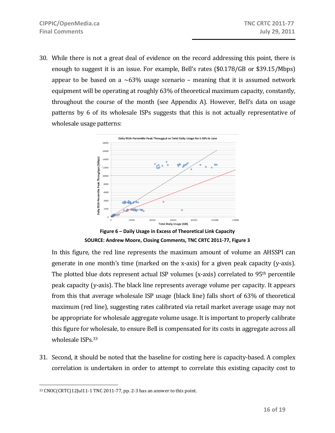30. While there is not a great deal of evidence on the record addressing this point, there is enough to suggest it is an issue. For example, Bell's rates (\$0.178/GB or \$39.15/Mbps) appear to be based on a  $\sim 63\%$  usage scenario – meaning that it is assumed network equipment will be operating at roughly 63% of theoretical maximum capacity, constantly, throughout the course of the month (see Appendix A). However, Bell's data on usage patterns by 6 of its wholesale ISPs suggests that this is not actually representative of wholesale usage patterns:



**Figure 6 – Daily Usage in Excess of Theoretical Link Capacity SOURCE: Andrew Moore, Closing Comments, TNC CRTC 2011‐77, Figure 3**

In this figure, the red line represents the maximum amount of volume an AHSSPI can generate in one month's time (marked on the x-axis) for a given peak capacity (y-axis). The plotted blue dots represent actual  $ISP$  volumes (x-axis) correlated to  $95<sup>th</sup>$  percentile peak capacity (y‐axis). The black line represents average volume per capacity. It appears from this that average wholesale ISP usage (black line) falls short of 63% of theoretical maximum (red line), suggesting rates calibrated via retail market average usage may not be appropriate for wholesale aggregate volume usage. It is important to properly calibrate this figure for wholesale, to ensure Bell is compensated for its costs in aggregate across all wholesale ISPs.<sup>33</sup>

31. Second, it should be noted that the baseline for costing here is capacity-based. A complex correlation is undertaken in order to attempt to correlate this existing capacity cost to

 $\overline{a}$ 33 CNOC(CRTC)12Jul11‐1 TNC 2011‐77, pp. 2‐3 has an answer to this point.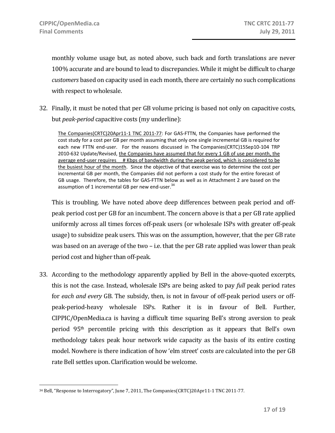monthly volume usage but, as noted above, such back and forth translations are never 100% accurate and are bound to lead to discrepancies. While it might be difficult to charge *customers* based on capacity used in each month, there are certainly no such complications with respect to wholesale.

32. Finally, it must be noted that per GB volume pricing is based not only on capacitive costs, but *peakperiod* capacitive costs (my underline):

The Companies(CRTC)20Apr11‐1 TNC 2011‐77: For GAS‐FTTN, the Companies have performed the cost study for a cost per GB per month assuming that only one single incremental GB is required for each new FTTN end-user. For the reasons discussed in The Companies(CRTC)15Sep10-104 TRP 2010-632 Update/Revised, the Companies have assumed that for every 1 GB of use per month, the average end‐user requires # Kbps of bandwidth during the peak period, which is considered to be the busiest hour of the month. Since the objective of that exercise was to determine the cost per incremental GB per month, the Companies did not perform a cost study for the entire forecast of GB usage. Therefore, the tables for GAS‐FTTN below as well as in Attachment 2 are based on the assumption of 1 incremental GB per new end-user.<sup>34</sup>

This is troubling. We have noted above deep differences between peak period and offpeak period cost per GB for an incumbent. The concern above is that a per GB rate applied uniformly across all times forces off‐peak users (or wholesale ISPs with greater off‐peak usage) to subsidize peak users. This was on the assumption, however, that the per GB rate was based on an average of the two – i.e. that the per GB rate applied was lower than peak period cost and higher than off‐peak.

33. According to the methodology apparently applied by Bell in the above‐quoted excerpts, this is not the case. Instead, wholesale ISPs are being asked to pay *full* peak period rates for *each and every* GB. The subsidy, then, is not in favour of off‐peak period users or off‐ peak‐period‐heavy wholesale ISPs. Rather it is in favour of Bell. Further, CIPPIC/OpenMedia.ca is having a difficult time squaring Bell's strong aversion to peak period 95th percentile pricing with this description as it appears that Bell's own methodology takes peak hour network wide capacity as the basis of its entire costing model. Nowhere is there indication of how 'elm street' costs are calculated into the per GB rate Bell settles upon. Clarification would be welcome.

 $\overline{a}$ <sup>34</sup> Bell, "Response to Interrogatory", June 7, 2011, The Companies(CRTC)20Apr11-1 TNC 2011-77.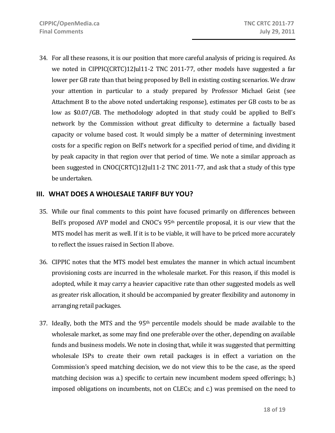34. For all these reasons, it is our position that more careful analysis of pricing is required. As we noted in CIPPIC(CRTC)12Jul11‐2 TNC 2011‐77, other models have suggested a far lower per GB rate than that being proposed by Bell in existing costing scenarios. We draw your attention in particular to a study prepared by Professor Michael Geist (see Attachment B to the above noted undertaking response), estimates per GB costs to be as low as \$0.07/GB. The methodology adopted in that study could be applied to Bell's network by the Commission without great difficulty to determine a factually based capacity or volume based cost. It would simply be a matter of determining investment costs for a specific region on Bell's network for a specified period of time, and dividing it by peak capacity in that region over that period of time. We note a similar approach as been suggested in CNOC(CRTC)12Jul11‐2 TNC 2011‐77, and ask that a study of this type be undertaken.

#### **III. WHAT DOES A WHOLESALE TARIFF BUY YOU?**

- 35. While our final comments to this point have focused primarily on differences between Bell's proposed AVP model and CNOC's 95<sup>th</sup> percentile proposal, it is our view that the MTS model has merit as well. If it is to be viable, it will have to be priced more accurately to reflect the issues raised in Section II above.
- 36. CIPPIC notes that the MTS model best emulates the manner in which actual incumbent provisioning costs are incurred in the wholesale market. For this reason, if this model is adopted, while it may carry a heavier capacitive rate than other suggested models as well as greater risk allocation, it should be accompanied by greater flexibility and autonomy in arranging retail packages.
- 37. Ideally, both the MTS and the  $95<sup>th</sup>$  percentile models should be made available to the wholesale market, as some may find one preferable over the other, depending on available funds and business models. We note in closing that, while it was suggested that permitting wholesale ISPs to create their own retail packages is in effect a variation on the Commission's speed matching decision, we do not view this to be the case, as the speed matching decision was a.) specific to certain new incumbent modem speed offerings; b.) imposed obligations on incumbents, not on CLECs; and c.) was premised on the need to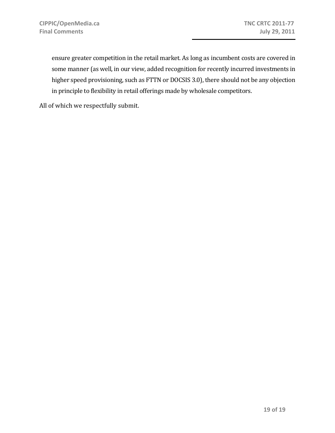ensure greater competition in the retail market. As long as incumbent costs are covered in some manner (as well, in our view, added recognition for recently incurred investments in higher speed provisioning, such as FTTN or DOCSIS 3.0), there should not be any objection in principle to flexibility in retail offerings made by wholesale competitors.

All of which we respectfully submit.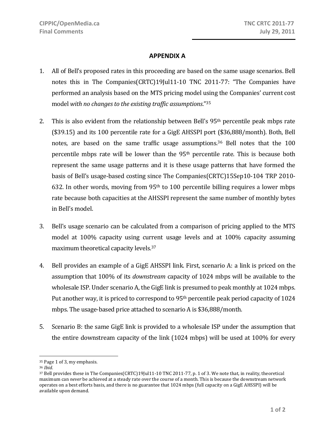#### **APPENDIX A**

- 1. All of Bell's proposed rates in this proceeding are based on the same usage scenarios. Bell notes this in The Companies(CRTC)19Jul11‐10 TNC 2011‐77: "The Companies have performed an analysis based on the MTS pricing model using the Companies' current cost model *with no changesto the existing traffic assumptions*."35
- 2. This is also evident from the relationship between Bell's  $95<sup>th</sup>$  percentile peak mbps rate (\$39.15) and its 100 percentile rate for a GigE AHSSPI port (\$36,888/month). Both, Bell notes, are based on the same traffic usage assumptions.<sup>36</sup> Bell notes that the 100 percentile mbps rate will be lower than the 95th percentile rate. This is because both represent the same usage patterns and it is these usage patterns that have formed the basis of Bell's usage‐based costing since The Companies(CRTC)15Sep10‐104 TRP 2010‐ 632. In other words, moving from  $95<sup>th</sup>$  to 100 percentile billing requires a lower mbps rate because both capacities at the AHSSPI represent the same number of monthly bytes in Bell's model.
- 3. Bell's usage scenario can be calculated from a comparison of pricing applied to the MTS model at 100% capacity using current usage levels and at 100% capacity assuming maximum theoretical capacity levels.<sup>37</sup>
- 4. Bell provides an example of a GigE AHSSPI link. First, scenario A: a link is priced on the assumption that 100% of its *downstream* capacity of 1024 mbps will be available to the wholesale ISP. Under scenario A, the GigE link is presumed to peak monthly at 1024 mbps. Put another way, it is priced to correspond to 95<sup>th</sup> percentile peak period capacity of 1024 mbps. The usage‐based price attached to scenario A is \$36,888/month.
- 5. Scenario B: the same GigE link is provided to a wholesale ISP under the assumption that the entire downstream capacity of the link (1024 mbps) will be used at 100% for every

<sup>35</sup> Page 1 of 3, my emphasis.

<sup>36</sup> *Ibid*.

<sup>37</sup> Bell provides these in The Companies(CRTC)19Jul11‐10 TNC 2011‐77, p. 1 of 3. We note that, in reality, theoretical maximum can *never* be achieved at a steady rate over the course of a month. This is because the downstream network operates on a best efforts basis, and there is no guarantee that 1024 mbps (full capacity on a GigE AHSSPI) will be available upon demand.